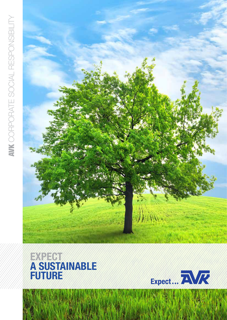



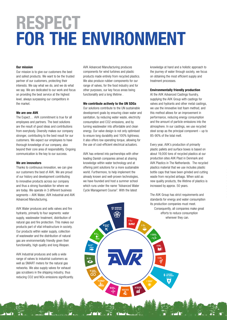# RESPECT FOR THE ENVIRONMENT

#### Our mission

Our mission is to give our customers the best and safest products. We want to be the trusted partner of our customers, protecting their interests. We say what we do, and we do what we say. We are dedicated to our work and focus on providing the best service at the highest level, always surpassing our competitors in the market.

#### We are one AVK

The Expect… AVK commitment is true for all employees and partners. The best solutions are the result of good ideas and contributions from everybody. Diversity makes our company stronger, contributing to the best result for our customers. We expect our employees to have thorough knowledge of our company, also beyond their core area of responsibility. Ongoing communication is the key to our success.

#### We are innovators

Thanks to continuous innovation, we can give our customers the best of AVK. We are proud of our history and development contributing to innovative products across our company and thus a strong foundation for where we are today. We operate in 3 different business segments – AVK Water, AVK Industrial and AVK Advanced Manufacturing.

AVK Water produces and sells valves and fire hydrants, primarily to four segments: water supply, wastewater treatment, distribution of natural gas and fire protection. This makes our products part of vital infrastructure in society. Our products within water supply, collection of wastewater and the distribution of natural gas are environmentally friendly given their functionality, high quality and long lifespan.

AVK Industrial produces and sells a wide range of valves to industrial customers as well as SMART meters for the natural gas networks. We also supply valves for exhaust gas scrubbers in the shipping industry, thus reducing CO2 and NOx emissions significantly.

AVK Advanced Manufacturing produces components for wind turbines and plastic products made entirely from recycled plastics. We also produce rubber components for our range of valves, for the food industry and for other purposes, our key focus areas being functionality and a long lifetime .

### We contribute actively to the UN SDGs

Our solutions contribute to the UN sustainable development goals by ensuring clean water and sanitation, by reducing water waste, electricity consumption and CO2 emissions, and by turning wastewater into affordable and clean energy. Our valve design is not only optimised to ensure long durability and 100% tightness; it also offers low operating torque, allowing for the use of cost-efficient electrical actuators.

AVK has entered into partnerships with other leading Danish companies aimed at sharing knowledge within water technology and at offering joint solutions for a more sustainable world. Furthermore, to help implement the already known and well-proven technologies, we have founded and host a summer school which runs under the name "Advanced Water Cycle Management Course". With the latest

knowledge at hand and a holistic approach to the journey of water through society, we focus on obtaining the most efficient supply and treatment processes.

### Environmentally friendly production

At the AVK Advanced Castings foundry, supplying the AVK Group with castings for valves and hydrants and other metal castings, we use the innovative lost foam method, and this method allows for an improvement in performance, reducing energy consumption and the amount of particle emissions into the atmosphere. In our castings, we use recycled steel scrap as the principal component – up to 85-90% of the total melt.

Every year, AVK's production of primarily plastic pallets and surface boxes is based on about 19,000 tons of recycled plastics at our production sites AVK Plast in Denmark and AVK Plastics in The Netherlands. The recycled plastics material that we use includes plastic bottle caps that have been grinded and cutting waste from recycled airbags. When sold as new quality products, the lifetime of plastics is increased by approx. 50 years.



The AVK Group has strict requirements and standards for energy and water consumption its production companies must meet. Consequently, all companies make great efforts to reduce consumption wherever they can.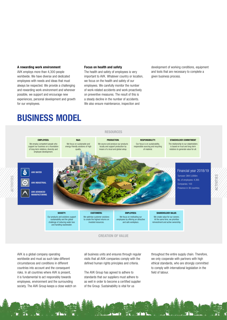#### A rewarding work environment

AVK employs more than 4,300 people worldwide. We have diverse and dedicated employees with needs and ideas that must always be respected. We provide a challenging and rewarding work environment and wherever possible, we support and encourage new experiences, personal development and growth for our employees.

#### Focus on health and safety

The health and safety of employees is very important to AVK. Whatever country or location, we focus on the health and safety of our employees. We carefully monitor the number of work-related accidents and work proactively on preventive measures. The result of this is a steady decline in the number of accidents. We also ensure maintenance, inspection and

development of working conditions, equipment and tools that are necessary to complete a given business process.

# BUSINESS MODEL



AVK is a global company operating worldwide and must as such take different circumstances and conditions in different countries into account and the consequent risks. In all countries where AVK is present, it is fundamental to act responsibly towards employees, environment and the surrounding society. The AVK Group keeps a close watch on all business units and ensures through regular visits that all AVK companies comply with the defined human rights principles and criteria.

The AVK Group has agreed to adhere to standards that our suppliers must adhere to as well in order to become a certified supplier of the Group. Sustainability is vital for us

throughout the entire supply chain. Therefore, we only cooperate with partners with high ethical standards, who are strongly committed to comply with international legislation in the field of labour.